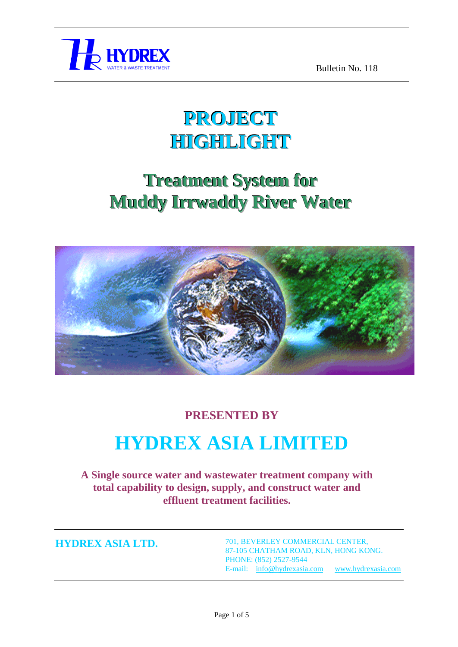

## **PROJECT HIGHLIGHT**

## **Treatment System for Muddy Irrwaddy River Water**



#### **PRESENTED BY**

# **HYDREX ASIA LIMITED**

**A Single source water and wastewater treatment company with total capability to design, supply, and construct water and effluent treatment facilities.**

**HYDREX ASIA LTD.**

701, BEVERLEY COMMERCIAL CENTER, 87-105 CHATHAM ROAD, KLN, HONG KONG. PHONE: (852) 2527-9544 E-mail: [info@hydrexasia.com](mailto:info@hydrexasia.com) [www.hydrexasia.com](http://www.hydrexasia.com/)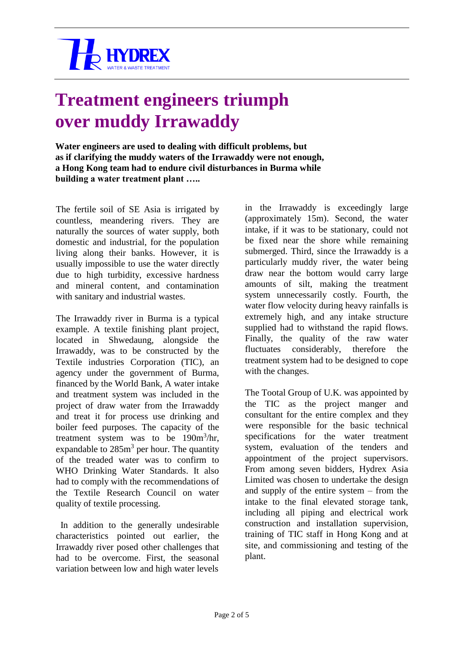

#### **Treatment engineers triumph over muddy Irrawaddy**

**Water engineers are used to dealing with difficult problems, but as if clarifying the muddy waters of the Irrawaddy were not enough, a Hong Kong team had to endure civil disturbances in Burma while building a water treatment plant …..**

The fertile soil of SE Asia is irrigated by countless, meandering rivers. They are naturally the sources of water supply, both domestic and industrial, for the population living along their banks. However, it is usually impossible to use the water directly due to high turbidity, excessive hardness and mineral content, and contamination with sanitary and industrial wastes.

The Irrawaddy river in Burma is a typical example. A textile finishing plant project, located in Shwedaung, alongside the Irrawaddy, was to be constructed by the Textile industries Corporation (TIC), an agency under the government of Burma, financed by the World Bank, A water intake and treatment system was included in the project of draw water from the Irrawaddy and treat it for process use drinking and boiler feed purposes. The capacity of the treatment system was to be  $190m^3/hr$ , expandable to  $285m<sup>3</sup>$  per hour. The quantity of the treaded water was to confirm to WHO Drinking Water Standards. It also had to comply with the recommendations of the Textile Research Council on water quality of textile processing.

In addition to the generally undesirable characteristics pointed out earlier, the Irrawaddy river posed other challenges that had to be overcome. First, the seasonal variation between low and high water levels

in the Irrawaddy is exceedingly large (approximately 15m). Second, the water intake, if it was to be stationary, could not be fixed near the shore while remaining submerged. Third, since the Irrawaddy is a particularly muddy river, the water being draw near the bottom would carry large amounts of silt, making the treatment system unnecessarily costly. Fourth, the water flow velocity during heavy rainfalls is extremely high, and any intake structure supplied had to withstand the rapid flows. Finally, the quality of the raw water fluctuates considerably, therefore the treatment system had to be designed to cope with the changes.

The Tootal Group of U.K. was appointed by the TIC as the project manger and consultant for the entire complex and they were responsible for the basic technical specifications for the water treatment system, evaluation of the tenders and appointment of the project supervisors. From among seven bidders, Hydrex Asia Limited was chosen to undertake the design and supply of the entire system – from the intake to the final elevated storage tank, including all piping and electrical work construction and installation supervision, training of TIC staff in Hong Kong and at site, and commissioning and testing of the plant.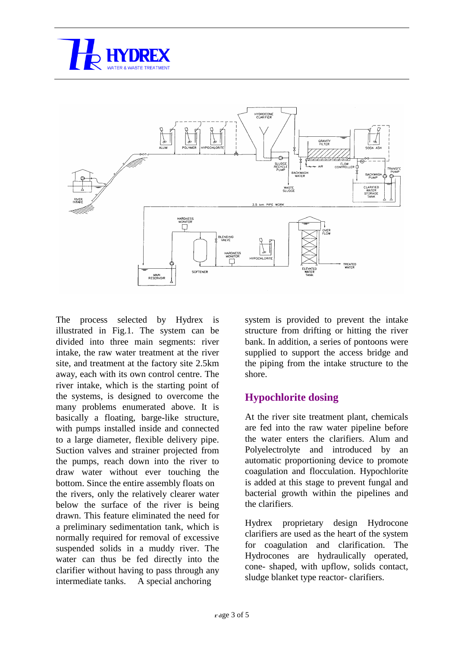



The process selected by Hydrex is illustrated in Fig.1. The system can be divided into three main segments: river intake, the raw water treatment at the river site, and treatment at the factory site 2.5km away, each with its own control centre. The river intake, which is the starting point of the systems, is designed to overcome the many problems enumerated above. It is basically a floating, barge-like structure, with pumps installed inside and connected to a large diameter, flexible delivery pipe. Suction valves and strainer projected from the pumps, reach down into the river to draw water without ever touching the bottom. Since the entire assembly floats on the rivers, only the relatively clearer water below the surface of the river is being drawn. This feature eliminated the need for a preliminary sedimentation tank, which is normally required for removal of excessive suspended solids in a muddy river. The water can thus be fed directly into the clarifier without having to pass through any intermediate tanks. A special anchoring

system is provided to prevent the intake structure from drifting or hitting the river bank. In addition, a series of pontoons were supplied to support the access bridge and the piping from the intake structure to the shore.

#### **Hypochlorite dosing**

At the river site treatment plant, chemicals are fed into the raw water pipeline before the water enters the clarifiers. Alum and Polyelectrolyte and introduced by an automatic proportioning device to promote coagulation and flocculation. Hypochlorite is added at this stage to prevent fungal and bacterial growth within the pipelines and the clarifiers.

Hydrex proprietary design Hydrocone clarifiers are used as the heart of the system for coagulation and clarification. The Hydrocones are hydraulically operated, cone- shaped, with upflow, solids contact, sludge blanket type reactor- clarifiers.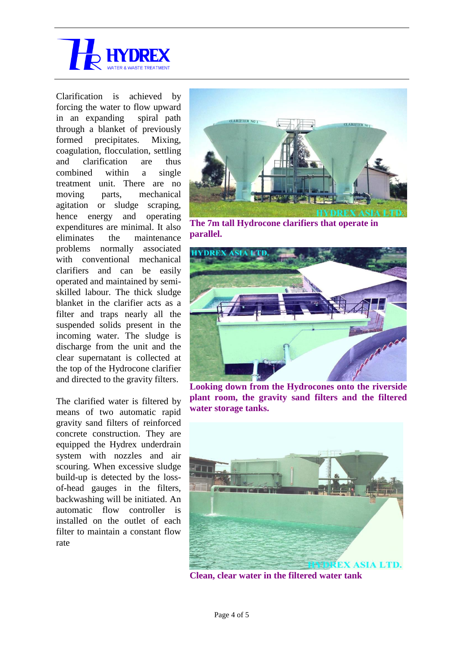

Clarification is achieved by forcing the water to flow upward in an expanding spiral path through a blanket of previously formed precipitates. Mixing, coagulation, flocculation, settling and clarification are thus combined within a single treatment unit. There are no moving parts, mechanical agitation or sludge scraping, hence energy and operating expenditures are minimal. It also eliminates the maintenance problems normally associated with conventional mechanical clarifiers and can be easily operated and maintained by semiskilled labour. The thick sludge blanket in the clarifier acts as a filter and traps nearly all the suspended solids present in the incoming water. The sludge is discharge from the unit and the clear supernatant is collected at the top of the Hydrocone clarifier and directed to the gravity filters.

The clarified water is filtered by means of two automatic rapid gravity sand filters of reinforced concrete construction. They are equipped the Hydrex underdrain system with nozzles and air scouring. When excessive sludge build-up is detected by the lossof-head gauges in the filters, backwashing will be initiated. An automatic flow controller is installed on the outlet of each filter to maintain a constant flow rate



**The 7m tall Hydrocone clarifiers that operate in parallel.**



**Looking down from the Hydrocones onto the riverside plant room, the gravity sand filters and the filtered water storage tanks.**



**Clean, clear water in the filtered water tank**